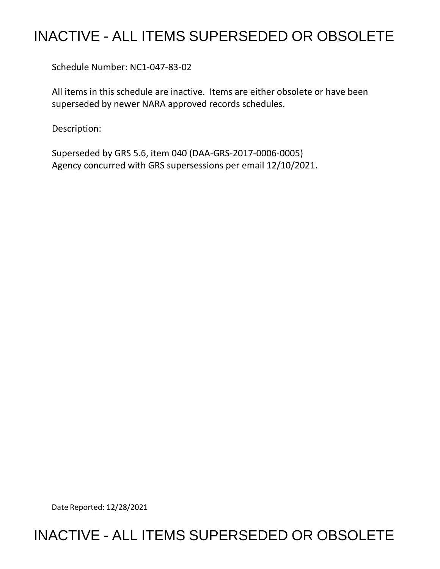## INACTIVE - ALL ITEMS SUPERSEDED OR OBSOLETE

Schedule Number: NC1-047-83-02

 All items in this schedule are inactive. Items are either obsolete or have been superseded by newer NARA approved records schedules.

Description:

 Superseded by GRS 5.6, item 040 (DAA-GRS-2017-0006-0005) Agency concurred with GRS supersessions per email 12/10/2021.

Date Reported: 12/28/2021

## INACTIVE - ALL ITEMS SUPERSEDED OR OBSOLETE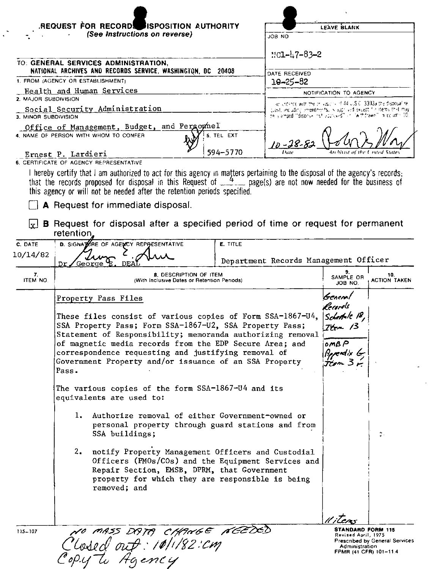| <b>REQUEST FOR RECORD.</b><br><b>JISPOSITION AUTHORITY</b><br>(See Instructions on reverse) |                                                                                                                                                                                                                                                                                                                                                                 |  |                 |                                                                                                                                       |                                                                |                                |  |
|---------------------------------------------------------------------------------------------|-----------------------------------------------------------------------------------------------------------------------------------------------------------------------------------------------------------------------------------------------------------------------------------------------------------------------------------------------------------------|--|-----------------|---------------------------------------------------------------------------------------------------------------------------------------|----------------------------------------------------------------|--------------------------------|--|
|                                                                                             |                                                                                                                                                                                                                                                                                                                                                                 |  | JOB NO          | LEAVE BLANK                                                                                                                           |                                                                |                                |  |
|                                                                                             |                                                                                                                                                                                                                                                                                                                                                                 |  |                 |                                                                                                                                       |                                                                |                                |  |
|                                                                                             | TO: GENERAL SERVICES ADMINISTRATION,                                                                                                                                                                                                                                                                                                                            |  |                 | $11C1 - 47 - 83 - 2$                                                                                                                  |                                                                |                                |  |
|                                                                                             | NATIONAL ARCHIVES AND RECORDS SERVICE, WASHINGTON, DC 20408<br>1. FROM (AGENCY OR ESTABLISHMENT)                                                                                                                                                                                                                                                                |  |                 | DATE RECEIVED<br>$10 - 25 - 82$                                                                                                       |                                                                |                                |  |
|                                                                                             | Health and Human Services                                                                                                                                                                                                                                                                                                                                       |  |                 |                                                                                                                                       | NOTIFICATION TO AGENCY                                         |                                |  |
| 2. MAJOR SUBDIVISION                                                                        | Social Security Administration                                                                                                                                                                                                                                                                                                                                  |  |                 | accordance with the or significant 44 U.S.C. 3303a the disposal re-                                                                   |                                                                |                                |  |
| 3. MINOR SUBDIVISION                                                                        |                                                                                                                                                                                                                                                                                                                                                                 |  |                 | quest, including amendments, is approved except for stems that may<br>be a amped "dispray" nut approved" or "withdrawn" in column 10. |                                                                |                                |  |
|                                                                                             | Office of Management, Budget, and Personnel<br>4. NAME OF PERSON WITH WHOM TO CONFER                                                                                                                                                                                                                                                                            |  | 5. TEL EXT      |                                                                                                                                       |                                                                |                                |  |
|                                                                                             |                                                                                                                                                                                                                                                                                                                                                                 |  | 594-5770        | $10 - 28 - 8$                                                                                                                         |                                                                |                                |  |
|                                                                                             | Ernest P. Lardieri<br>6. CERTIFICATE OF AGENCY REPRESENTATIVE                                                                                                                                                                                                                                                                                                   |  |                 |                                                                                                                                       |                                                                |                                |  |
| lv l                                                                                        | that the records proposed for disposal in this Request of $4$ , page(s) are not now needed for the business of<br>this agency or will not be needed after the retention periods specified.<br>A Request for immediate disposal.<br><b>B</b> Request for disposal after a specified period of time or request for permanent                                      |  |                 |                                                                                                                                       |                                                                |                                |  |
| C. DATE                                                                                     | retention,<br>D. SIGNATIONE OF AGENCY REPRESENTATIVE                                                                                                                                                                                                                                                                                                            |  | <b>E. TITLE</b> |                                                                                                                                       |                                                                |                                |  |
| 10/14/82                                                                                    |                                                                                                                                                                                                                                                                                                                                                                 |  |                 |                                                                                                                                       |                                                                |                                |  |
|                                                                                             | Dr<br>George                                                                                                                                                                                                                                                                                                                                                    |  |                 | Department Records Management Officer                                                                                                 | 9.                                                             |                                |  |
| 7.<br><b>ITEM NO.</b>                                                                       | <b>8. DESCRIPTION OF ITEM</b><br>(With Inclusive Dates or Retention Periods)                                                                                                                                                                                                                                                                                    |  |                 | SAMPLE OR<br>JOB NO.                                                                                                                  | 10.<br><b>ACTION TAKEN</b>                                     |                                |  |
|                                                                                             | Property Pass Files                                                                                                                                                                                                                                                                                                                                             |  |                 |                                                                                                                                       | Geneml                                                         |                                |  |
|                                                                                             | These files consist of various copies of Form SSA-1867-U4,<br>SSA Property Pass; Form SSA-1867-U2, SSA Property Pass;<br>Statement of Responsibility; memoranda authorizing removal<br>of magnetic media records from the EDP Secure Area; and<br>correspondence requesting and justifying removal of<br>Government Property and/or issuance of an SSA Property |  |                 |                                                                                                                                       | lcaris<br>Schett 12,<br><u> Tte</u> m 13<br>0MBP<br>Appendix G |                                |  |
|                                                                                             | Pass.                                                                                                                                                                                                                                                                                                                                                           |  |                 |                                                                                                                                       |                                                                |                                |  |
|                                                                                             | The various copies of the form SSA-1867-U4 and its<br>equivalents are used to:                                                                                                                                                                                                                                                                                  |  |                 |                                                                                                                                       |                                                                |                                |  |
|                                                                                             | Authorize removal of either Government-owned or<br>ı.<br>personal property through guard stations and from<br>SSA buildings;                                                                                                                                                                                                                                    |  |                 |                                                                                                                                       |                                                                | ţ.                             |  |
|                                                                                             | 2. notify Property Management Officers and Custodial<br>Officers (PMOs/COs) and the Equipment Services and<br>Repair Section, EMSB, DPRM, that Government<br>property for which they are responsible is being<br>removed; and                                                                                                                                   |  |                 |                                                                                                                                       |                                                                |                                |  |
|                                                                                             |                                                                                                                                                                                                                                                                                                                                                                 |  |                 |                                                                                                                                       | <sub>'l</sub> litean                                           |                                |  |
| 115-107                                                                                     | NO MASS DATA CHANGE NEEDED<br>Closed out: 10/1/82:cm                                                                                                                                                                                                                                                                                                            |  |                 |                                                                                                                                       | STANDARD FORM 115<br>Revised April, 1975<br>Administration     | Prescribed by General Services |  |

 $\ddot{\phantom{a}}$ 

 $\overline{a}$ 

 $\sim$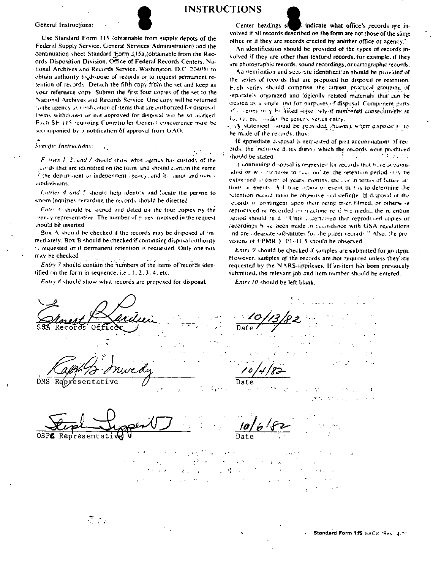



**INSTRUCTIONS** 

代表 (1975) 29



Specific Instructions:

 $F$  tries 1.2, and 3 should show what agency has custody of the records that are identified on the form, and should contain the name of the department or independent agency, and its major and many c sundivisions.

 $\mathbf{A}$ 

Entries 4 and 5 should help identity and locate the person to whom inquiries regarding the records should be directed.

Entry 6 should be signed and dated on the four copies by the gency representative. The number of places involved in the request should be inserted.

Box A should be checked if the records may be disposed of immediately. Box B should be checked if continuing disposal authority is requested or if permanent retention is requested. Only one nox may be checked

Entry 7 should contain the numbers of the items of records identified on the form in sequence, i.e.,  $1, 2, 3, 4$ , etc.

Entry 8 should show what records are proposed for disposal.

Center headings st indicate what office's records are involved if all records described on the form are not those of the same office or if they are records created by another office or agency.'

An identification should be provided of the types of records involved if they are other than textural records, for example, if they are photographic records, sound recordings, or cartographic records.

An itemization and accurate identification should be provided of the series of records that are proposed for disposal or retention. Fuch series should comprise the largest practical grouping of separately organized and 'ogically related materials that can be treated as a single unit for purposes of disposal. Component parts of a series in y be listed separately if numbered consecutively as Io, 10, etc., under the general series entry,

1. A statement would be provided showing when disposal polo be made of the records, thus:

If inmediate disposal is requested of past accumulations of records, the inclusive dates during which the records were produced  $\mathcal{L}^{\text{max}}$  ,  $\mathcal{L}^{\text{max}}$  , snould be stated. **Simple** 

If continuing disposal is requested for records that have accumuated or will continue to such an ite, the setention period may be expressed at terms of years, months, etc., or in terms of future actions or events. A F ture settow or event that is to determine the retention period must be objective and definite. If disposal of the records is contingent upon their oeing morefilmed, or otherwise reproduced or recorded on machine read bie media, the relention refied should read. "Until ascertained that reproduced copies or recordings heve been made in accordance with GSA regulations and are odequate substitutes for the puper records." Also, the provisions of  $FPMR \ge (01-11.5)$  should be observed.

Entry 9 should be checked if samples are submitted for an item. However, samples of the records are not required unless they are requested by the NARS-appraiser. If an item has been previously submitted, the relevant job and item number should be entered.

Entry 10 should be left blank.

Representative  $\text{Data}$ 

 $\lambda$  as  $\sim 10$  $-6$  $\mathcal{A}_{\mathcal{A}}$ 

 $\sum_{i=1}^{n} \frac{1}{i}$ 

Standard Form 11S BACK (Rev. 4.76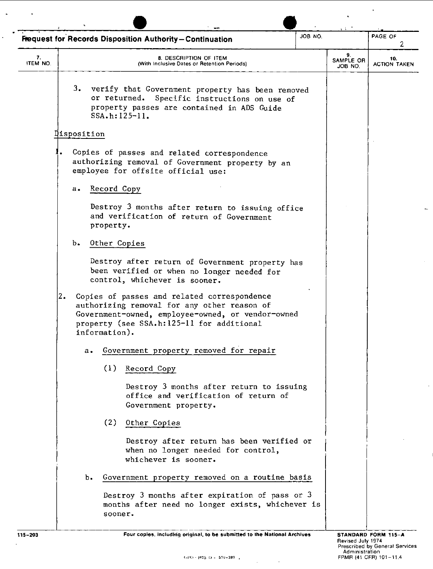| JOB NO.<br><b>Fequest for Records Disposition Authority-Continuation</b> |             |                                                                                                                                                                                                               |                                                                                  |  | PAGE OF<br>2               |                            |
|--------------------------------------------------------------------------|-------------|---------------------------------------------------------------------------------------------------------------------------------------------------------------------------------------------------------------|----------------------------------------------------------------------------------|--|----------------------------|----------------------------|
| 7.<br>ITEM NO.                                                           |             | 8. DESCRIPTION OF ITEM<br>(With Inclusive Dates or Retention Periods)                                                                                                                                         |                                                                                  |  | 9.<br>SAMPLE OR<br>JOB NO. | 10.<br><b>ACTION TAKEN</b> |
|                                                                          | 3.          | verify that Government property has been removed<br>or returned.<br>property passes are contained in ADS Guide<br>$SSA.h: 125-11.$                                                                            | Specific instructions on use of                                                  |  |                            |                            |
|                                                                          | Disposition |                                                                                                                                                                                                               |                                                                                  |  |                            |                            |
|                                                                          |             | Copies of passes and related correspondence<br>authorizing removal of Government property by an<br>employee for offsite official use:                                                                         |                                                                                  |  |                            |                            |
|                                                                          | a.          | Record Copy                                                                                                                                                                                                   |                                                                                  |  |                            |                            |
|                                                                          |             | Destroy 3 months after return to issuing office<br>and verification of return of Government<br>property.                                                                                                      |                                                                                  |  |                            |                            |
|                                                                          | b.          | Other Copies                                                                                                                                                                                                  |                                                                                  |  |                            |                            |
|                                                                          |             | Destroy after return of Government property has<br>been verified or when no longer needed for<br>control, whichever is sooner.                                                                                |                                                                                  |  |                            |                            |
| 2.                                                                       |             | Copies of passes and related correspondence<br>authorizing removal for any other reason of<br>Government-owned, employee-owned, or vendor-owned<br>property (see SSA.h:125-11 for additional<br>information). |                                                                                  |  |                            |                            |
|                                                                          | а.          | Government property removed for repair                                                                                                                                                                        |                                                                                  |  |                            |                            |
|                                                                          |             | (1)<br>Record Copy                                                                                                                                                                                            |                                                                                  |  |                            |                            |
|                                                                          |             | Government property.                                                                                                                                                                                          | Destroy 3 months after return to issuing<br>office and verification of return of |  |                            |                            |
|                                                                          |             | (2)<br>Other Copies                                                                                                                                                                                           |                                                                                  |  |                            |                            |
|                                                                          |             | whichever is sooner.                                                                                                                                                                                          | Destroy after return has been verified or<br>when no longer needed for control,  |  |                            |                            |
|                                                                          | ъ.          | Government property removed on a routine basis                                                                                                                                                                |                                                                                  |  |                            |                            |
|                                                                          |             | Destroy 3 months after expiration of pass or 3<br>months after need no longer exists, whichever is<br>sooner.                                                                                                 |                                                                                  |  |                            |                            |

 $\overline{a}$ 

 $\mathbf{r}$ 

 $\ddot{\phantom{a}}$ 

115-203 **Four copies, including original, to be submitted to the National Archives** 

 $\ddot{\phantom{1}}$ 

 $\ddot{\phantom{a}}$ 

 $\mathcal{A}$ 

 $\hat{\mathcal{L}}$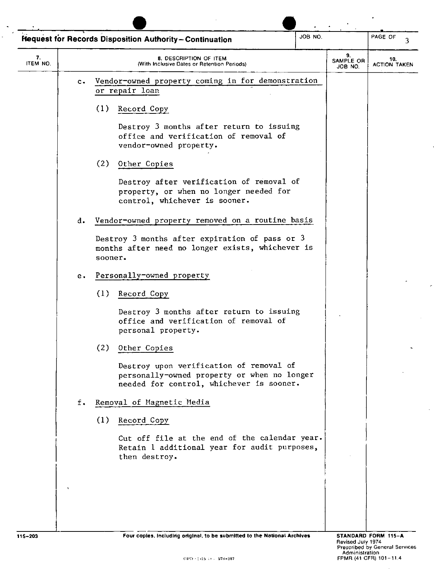| JOB NO.<br><b>Hequest for Records Disposition Authority-Continuation</b> |               |                                                                                                                                    |                            | PAGE OF<br>3               |
|--------------------------------------------------------------------------|---------------|------------------------------------------------------------------------------------------------------------------------------------|----------------------------|----------------------------|
| 7.<br>ITEM NO.                                                           |               | 8. DESCRIPTION OF ITEM<br>(With Inclusive Dates or Retention Periods)                                                              | 9.<br>SAMPLE OR<br>JOB NO. | 10.<br><b>ACTION TAKEN</b> |
|                                                                          | $c -$         | Vendor-owned property coming in for demonstration<br>or repair loan                                                                |                            |                            |
|                                                                          |               | (1)<br>Record Copy                                                                                                                 |                            |                            |
|                                                                          |               | Destroy 3 months after return to issuing<br>office and verification of removal of<br>vendor-owned property.                        |                            |                            |
|                                                                          |               | (2) Other Copies                                                                                                                   |                            |                            |
|                                                                          |               | Destroy after verification of removal of<br>property, or when no longer needed for<br>control, whichever is sooner.                |                            |                            |
|                                                                          | d.            | Vendor-owned property removed on a routine basis                                                                                   |                            |                            |
|                                                                          |               | Destroy 3 months after expiration of pass or 3<br>months after need no longer exists, whichever is<br>sooner.                      |                            |                            |
|                                                                          | е.            | Personally-owned property                                                                                                          |                            |                            |
|                                                                          |               | (1)<br>Record Copy                                                                                                                 |                            |                            |
|                                                                          |               | Destroy 3 months after return to issuing<br>office and verification of removal of<br>personal property.                            |                            |                            |
|                                                                          |               | (2)<br>Other Copies                                                                                                                |                            |                            |
|                                                                          |               | Destroy upon verification of removal of<br>personally-owned property or when no longer<br>needed for control, whichever is sooner. |                            |                            |
|                                                                          | $f_{\bullet}$ | Removal of Magnetic Media                                                                                                          |                            |                            |
|                                                                          |               | (1)<br>Record Copy                                                                                                                 |                            |                            |
|                                                                          |               | Cut off file at the end of the calendar year.<br>Retain 1 additional year for audit purposes,<br>then destroy.                     |                            |                            |
|                                                                          |               |                                                                                                                                    |                            |                            |
|                                                                          |               |                                                                                                                                    |                            |                            |
|                                                                          |               |                                                                                                                                    |                            |                            |

 $\overline{\phantom{a}}$ 

 $\ddot{\phantom{a}}$